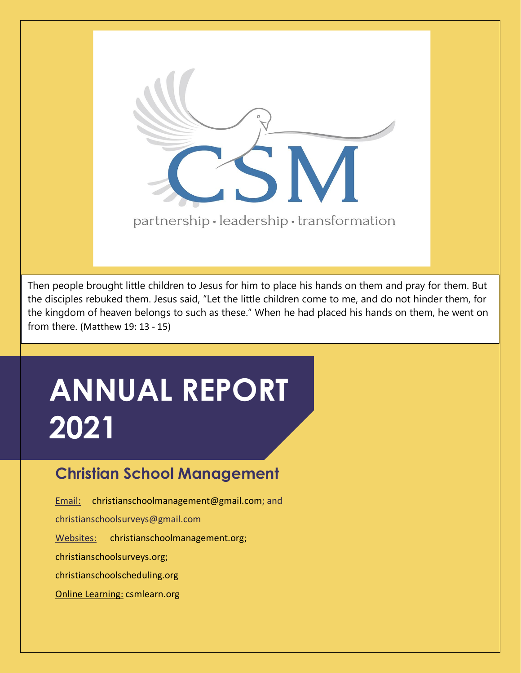

Then people brought little children to Jesus for him to place his hands on them and pray for them. But the disciples rebuked them. Jesus said, "Let the little children come to me, and do not hinder them, for the kingdom of heaven belongs to such as these." When he had placed his hands on them, he went on from there. (Matthew 19: 13 - 15)

# **ANNUAL REPORT 2021**

## **Christian School Management**

Email: [christianschoolmanagement@gmail.com;](mailto:christianschoolmanagement@gmail.com) and

christianschoolsurveys@gmail.com

Websites: [christianschoolmanagement.org;](http://www.https/christianschoolmanagement.org)

christianschoolsurveys.org;

christianschoolscheduling.org

Online Learning: csmlearn.org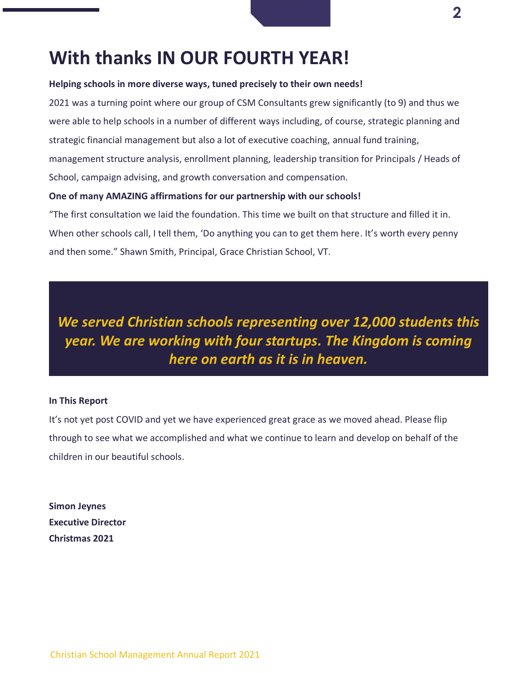## **With thanks IN OUR FOURTH YEAR!**

### **Helping schools in more diverse ways, tuned precisely to their own needs!**

2021 was a turning point where our group of CSM Consultants grew significantly (to 9) and thus we were able to help schools in a number of different ways including, of course, strategic planning and strategic financial management but also a lot of executive coaching, annual fund training, management structure analysis, enrollment planning, leadership transition for Principals / Heads of School, campaign advising, and growth conversation and compensation.

### **One of many AMAZING affirmations for our partnership with our schools!**

"The first consultation we laid the foundation. This time we built on that structure and filled it in. When other schools call, I tell them, 'Do anything you can to get them here. It's worth every penny and then some." Shawn Smith, Principal, Grace Christian School, VT.

*We served Christian schools representing over 12,000 students this year. We are working with four startups. The Kingdom is coming here on earth as it is in heaven.*

### **In This Report**

It's not yet post COVID and yet we have experienced great grace as we moved ahead. Please flip through to see what we accomplished and what we continue to learn and develop on behalf of the children in our beautiful schools.

**Simon Jeynes Executive Director Christmas 2021**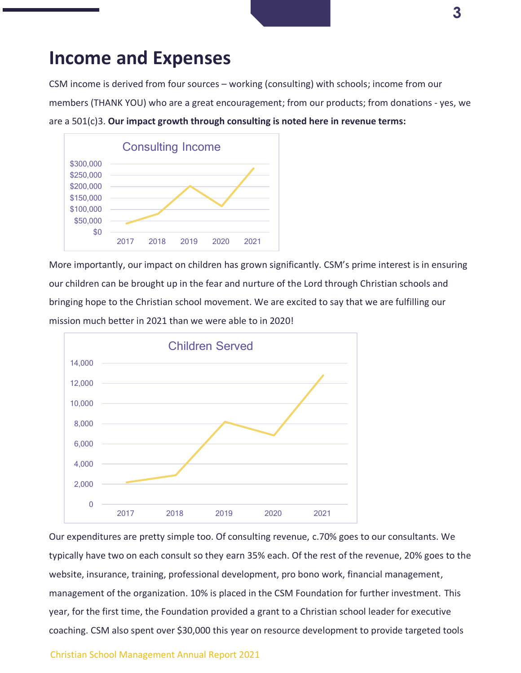## **Income and Expenses**

CSM income is derived from four sources – working (consulting) with schools; income from our members (THANK YOU) who are a great encouragement; from our products; from donations - yes, we are a 501(c)3. **Our impact growth through consulting is noted here in revenue terms:**



More importantly, our impact on children has grown significantly. CSM's prime interest is in ensuring our children can be brought up in the fear and nurture of the Lord through Christian schools and bringing hope to the Christian school movement. We are excited to say that we are fulfilling our mission much better in 2021 than we were able to in 2020!



Our expenditures are pretty simple too. Of consulting revenue, c.70% goes to our consultants. We typically have two on each consult so they earn 35% each. Of the rest of the revenue, 20% goes to the website, insurance, training, professional development, pro bono work, financial management, management of the organization. 10% is placed in the CSM Foundation for further investment. This year, for the first time, the Foundation provided a grant to a Christian school leader for executive coaching. CSM also spent over \$30,000 this year on resource development to provide targeted tools

### Christian School Management Annual Report 2021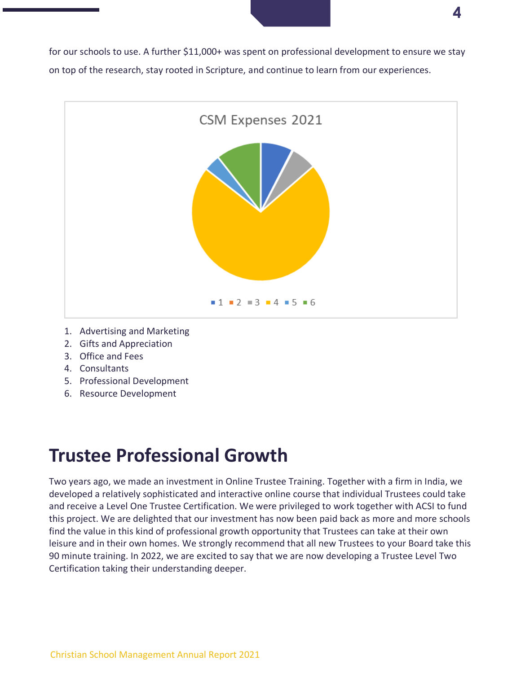for our schools to use. A further \$11,000+ was spent on professional development to ensure we stay on top of the research, stay rooted in Scripture, and continue to learn from our experiences.

**4**



- 1. Advertising and Marketing
- 2. Gifts and Appreciation
- 3. Office and Fees
- 4. Consultants
- 5. Professional Development
- 6. Resource Development

## **Trustee Professional Growth**

Two years ago, we made an investment in Online Trustee Training. Together with a firm in India, we developed a relatively sophisticated and interactive online course that individual Trustees could take and receive a Level One Trustee Certification. We were privileged to work together with ACSI to fund this project. We are delighted that our investment has now been paid back as more and more schools find the value in this kind of professional growth opportunity that Trustees can take at their own leisure and in their own homes. We strongly recommend that all new Trustees to your Board take this 90 minute training. In 2022, we are excited to say that we are now developing a Trustee Level Two Certification taking their understanding deeper.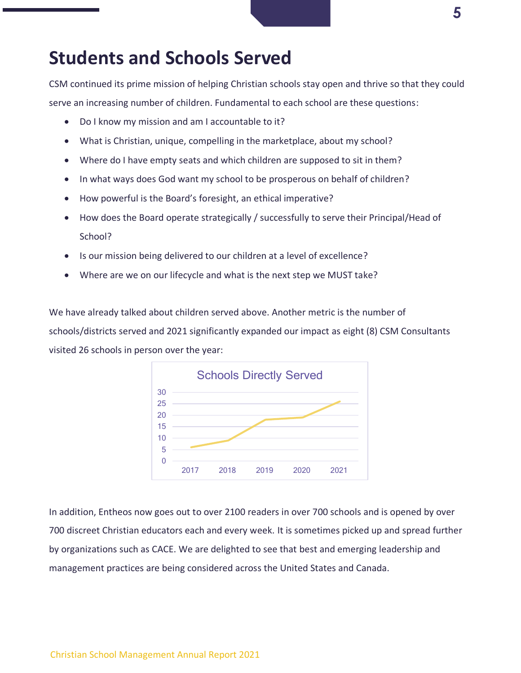### **Students and Schools Served**

CSM continued its prime mission of helping Christian schools stay open and thrive so that they could serve an increasing number of children. Fundamental to each school are these questions:

- Do I know my mission and am I accountable to it?
- What is Christian, unique, compelling in the marketplace, about my school?
- Where do I have empty seats and which children are supposed to sit in them?
- In what ways does God want my school to be prosperous on behalf of children?
- How powerful is the Board's foresight, an ethical imperative?
- How does the Board operate strategically / successfully to serve their Principal/Head of School?
- Is our mission being delivered to our children at a level of excellence?
- Where are we on our lifecycle and what is the next step we MUST take?

We have already talked about children served above. Another metric is the number of schools/districts served and 2021 significantly expanded our impact as eight (8) CSM Consultants visited 26 schools in person over the year:



In addition, Entheos now goes out to over 2100 readers in over 700 schools and is opened by over 700 discreet Christian educators each and every week. It is sometimes picked up and spread further by organizations such as CACE. We are delighted to see that best and emerging leadership and management practices are being considered across the United States and Canada.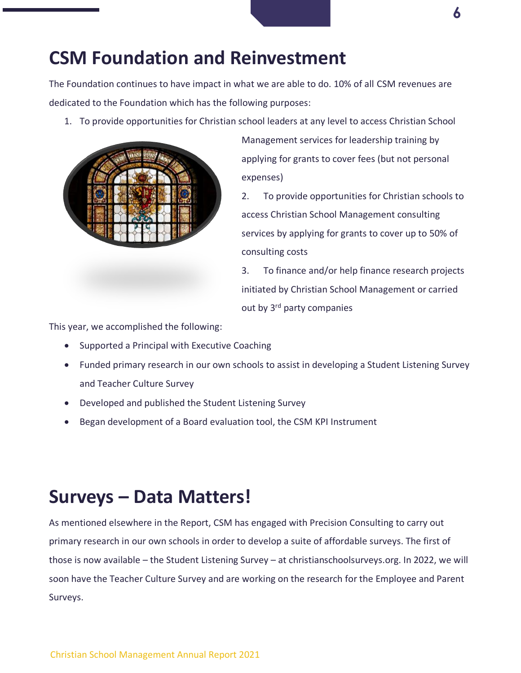## **CSM Foundation and Reinvestment**

The Foundation continues to have impact in what we are able to do. 10% of all CSM revenues are dedicated to the Foundation which has the following purposes:

1. To provide opportunities for Christian school leaders at any level to access Christian School



Management services for leadership training by applying for grants to cover fees (but not personal expenses)

2. To provide opportunities for Christian schools to access Christian School Management consulting services by applying for grants to cover up to 50% of consulting costs

3. To finance and/or help finance research projects initiated by Christian School Management or carried out by 3<sup>rd</sup> party companies

This year, we accomplished the following:

- Supported a Principal with Executive Coaching
- Funded primary research in our own schools to assist in developing a Student Listening Survey and Teacher Culture Survey
- Developed and published the Student Listening Survey
- Began development of a Board evaluation tool, the CSM KPI Instrument

## **Surveys – Data Matters!**

As mentioned elsewhere in the Report, CSM has engaged with Precision Consulting to carry out primary research in our own schools in order to develop a suite of affordable surveys. The first of those is now available – the Student Listening Survey – at christianschoolsurveys.org. In 2022, we will soon have the Teacher Culture Survey and are working on the research for the Employee and Parent Surveys.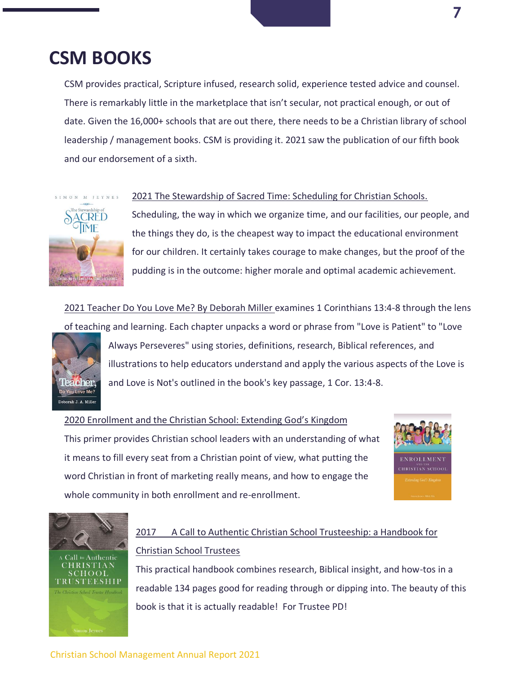## **CSM BOOKS**

CSM provides practical, Scripture infused, research solid, experience tested advice and counsel. There is remarkably little in the marketplace that isn't secular, not practical enough, or out of date. Given the 16,000+ schools that are out there, there needs to be a Christian library of school leadership / management books. CSM is providing it. 2021 saw the publication of our fifth book and our endorsement of a sixth.



2021 The Stewardship of Sacred Time: Scheduling for Christian Schools.

Scheduling, the way in which we organize time, and our facilities, our people, and the things they do, is the cheapest way to impact the educational environment for our children. It certainly takes courage to make changes, but the proof of the pudding is in the outcome: higher morale and optimal academic achievement.

2021 Teacher Do You Love Me? By Deborah Miller examines 1 Corinthians 13:4-8 through the lens of teaching and learning. Each chapter unpacks a word or phrase from "Love is Patient" to "Love



Always Perseveres" using stories, definitions, research, Biblical references, and illustrations to help educators understand and apply the various aspects of the Love is and Love is Not's outlined in the book's key passage, 1 Cor. 13:4-8.

2020 Enrollment and the Christian School: Extending God's Kingdom This primer provides Christian school leaders with an understanding of what it means to fill every seat from a Christian point of view, what putting the word Christian in front of marketing really means, and how to engage the whole community in both enrollment and re-enrollment.





### 2017 A Call to Authentic Christian School Trusteeship: a Handbook for Christian School Trustees

This practical handbook combines research, Biblical insight, and how-tos in a readable 134 pages good for reading through or dipping into. The beauty of this book is that it is actually readable! For Trustee PD!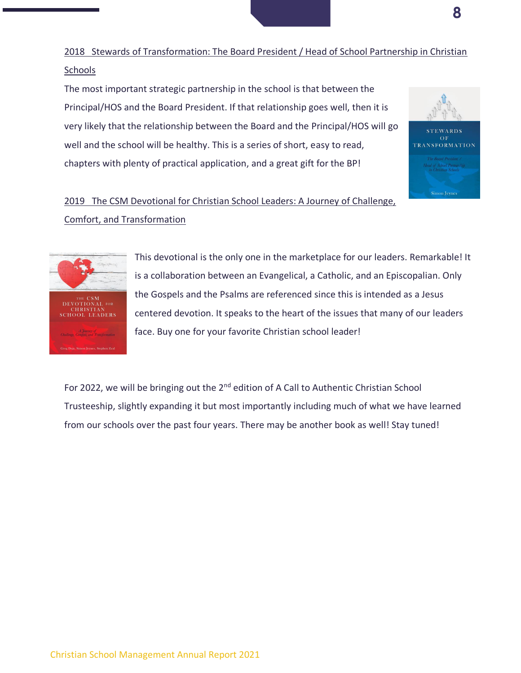2018 Stewards of Transformation: The Board President / Head of School Partnership in Christian Schools

The most important strategic partnership in the school is that between the Principal/HOS and the Board President. If that relationship goes well, then it is very likely that the relationship between the Board and the Principal/HOS will go well and the school will be healthy. This is a series of short, easy to read, chapters with plenty of practical application, and a great gift for the BP!



**8**

### 2019 The CSM Devotional for Christian School Leaders: A Journey of Challenge, Comfort, and Transformation



This devotional is the only one in the marketplace for our leaders. Remarkable! It is a collaboration between an Evangelical, a Catholic, and an Episcopalian. Only the Gospels and the Psalms are referenced since this is intended as a Jesus centered devotion. It speaks to the heart of the issues that many of our leaders face. Buy one for your favorite Christian school leader!

For 2022, we will be bringing out the 2<sup>nd</sup> edition of A Call to Authentic Christian School Trusteeship, slightly expanding it but most importantly including much of what we have learned from our schools over the past four years. There may be another book as well! Stay tuned!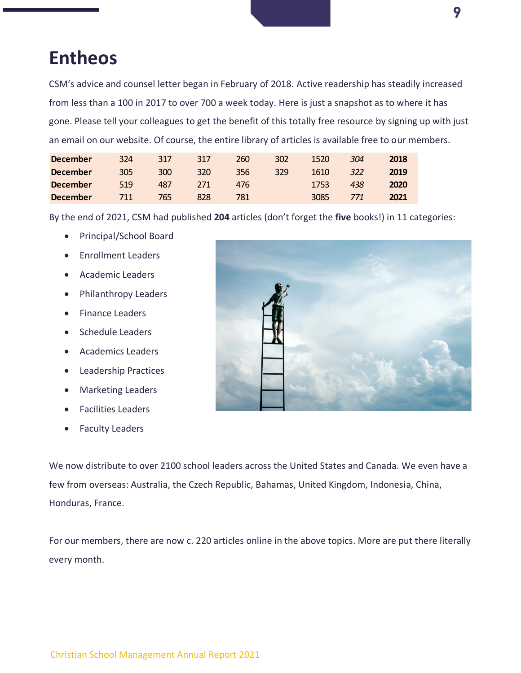## **Entheos**

CSM's advice and counsel letter began in February of 2018. Active readership has steadily increased from less than a 100 in 2017 to over 700 a week today. Here is just a snapshot as to where it has gone. Please tell your colleagues to get the benefit of this totally free resource by signing up with just an email on our website. Of course, the entire library of articles is available free to our members.

| <b>December</b> | 324 | 317 | 317 | 260 | 302 | 1520 | 304 | 2018 |
|-----------------|-----|-----|-----|-----|-----|------|-----|------|
| <b>December</b> | 305 | 300 | 320 | 356 | 329 | 1610 | 322 | 2019 |
| <b>December</b> | 519 | 487 | 271 | 476 |     | 1753 | 438 | 2020 |
| <b>December</b> | 711 | 765 | 828 | 781 |     | 3085 | 771 | 2021 |

By the end of 2021, CSM had published **204** articles (don't forget the **five** books!) in 11 categories:

- Principal/School Board
- Enrollment Leaders
- Academic Leaders
- Philanthropy Leaders
- Finance Leaders
- Schedule Leaders
- Academics Leaders
- Leadership Practices
- Marketing Leaders
- Facilities Leaders
- Faculty Leaders



We now distribute to over 2100 school leaders across the United States and Canada. We even have a few from overseas: Australia, the Czech Republic, Bahamas, United Kingdom, Indonesia, China, Honduras, France.

For our members, there are now c. 220 articles online in the above topics. More are put there literally every month.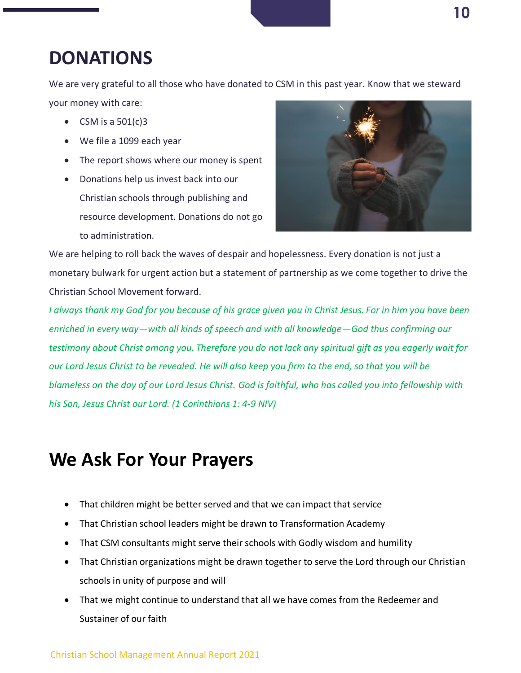We are very grateful to all those who have donated to CSM in this past year. Know that we steward your money with care:

- CSM is a  $501(c)3$
- We file a 1099 each year
- The report shows where our money is spent
- Donations help us invest back into our Christian schools through publishing and resource development. Donations do not go to administration.



We are helping to roll back the waves of despair and hopelessness. Every donation is not just a monetary bulwark for urgent action but a statement of partnership as we come together to drive the Christian School Movement forward.

*I always thank my God for you because of his grace given you in Christ Jesus. For in him you have been enriched in every way—with all kinds of speech and with all knowledge—God thus confirming our testimony about Christ among you. Therefore you do not lack any spiritual gift as you eagerly wait for our Lord Jesus Christ to be revealed. He will also keep you firm to the end, so that you will be blameless on the day of our Lord Jesus Christ. God is faithful, who has called you into fellowship with his Son, Jesus Christ our Lord. (1 Corinthians 1: 4-9 NIV)*

## **We Ask For Your Prayers**

- That children might be better served and that we can impact that service
- That Christian school leaders might be drawn to Transformation Academy
- That CSM consultants might serve their schools with Godly wisdom and humility
- That Christian organizations might be drawn together to serve the Lord through our Christian schools in unity of purpose and will
- That we might continue to understand that all we have comes from the Redeemer and Sustainer of our faith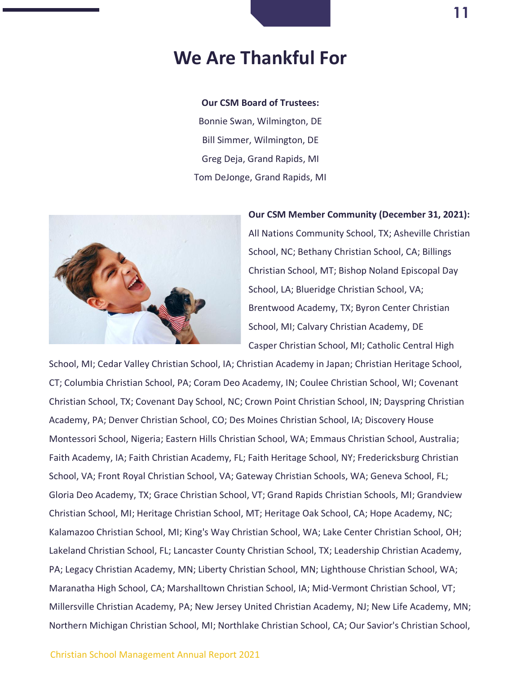## **We Are Thankful For**

#### **Our CSM Board of Trustees:**

Bonnie Swan, Wilmington, DE Bill Simmer, Wilmington, DE Greg Deja, Grand Rapids, MI Tom DeJonge, Grand Rapids, MI



### **Our CSM Member Community (December 31, 2021):**

All Nations Community School, TX; Asheville Christian School, NC; Bethany Christian School, CA; Billings Christian School, MT; Bishop Noland Episcopal Day School, LA; Blueridge Christian School, VA; Brentwood Academy, TX; Byron Center Christian School, MI; Calvary Christian Academy, DE Casper Christian School, MI; Catholic Central High

School, MI; Cedar Valley Christian School, IA; Christian Academy in Japan; Christian Heritage School, CT; Columbia Christian School, PA; Coram Deo Academy, IN; Coulee Christian School, WI; Covenant Christian School, TX; Covenant Day School, NC; Crown Point Christian School, IN; Dayspring Christian Academy, PA; Denver Christian School, CO; Des Moines Christian School, IA; Discovery House Montessori School, Nigeria; Eastern Hills Christian School, WA; Emmaus Christian School, Australia; Faith Academy, IA; Faith Christian Academy, FL; Faith Heritage School, NY; Fredericksburg Christian School, VA; Front Royal Christian School, VA; Gateway Christian Schools, WA; Geneva School, FL; Gloria Deo Academy, TX; Grace Christian School, VT; Grand Rapids Christian Schools, MI; Grandview Christian School, MI; Heritage Christian School, MT; Heritage Oak School, CA; Hope Academy, NC; Kalamazoo Christian School, MI; King's Way Christian School, WA; Lake Center Christian School, OH; Lakeland Christian School, FL; Lancaster County Christian School, TX; Leadership Christian Academy, PA; Legacy Christian Academy, MN; Liberty Christian School, MN; Lighthouse Christian School, WA; Maranatha High School, CA; Marshalltown Christian School, IA; Mid-Vermont Christian School, VT; Millersville Christian Academy, PA; New Jersey United Christian Academy, NJ; New Life Academy, MN; Northern Michigan Christian School, MI; Northlake Christian School, CA; Our Savior's Christian School,

#### Christian School Management Annual Report 2021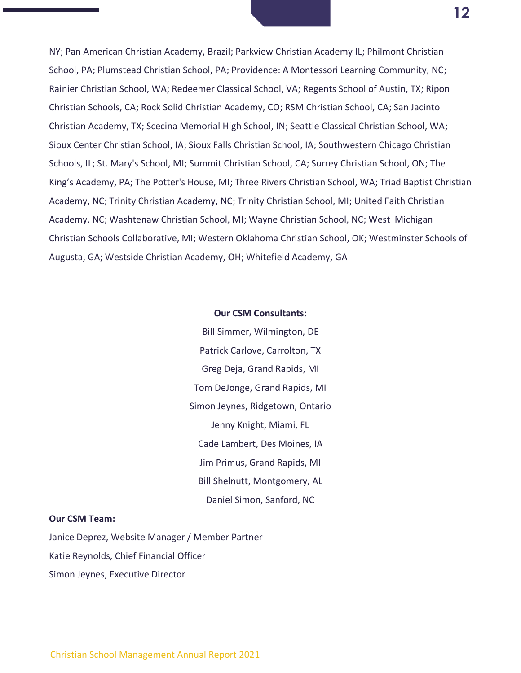NY; Pan American Christian Academy, Brazil; Parkview Christian Academy IL; Philmont Christian School, PA; Plumstead Christian School, PA; Providence: A Montessori Learning Community, NC; Rainier Christian School, WA; Redeemer Classical School, VA; Regents School of Austin, TX; Ripon Christian Schools, CA; Rock Solid Christian Academy, CO; RSM Christian School, CA; San Jacinto Christian Academy, TX; Scecina Memorial High School, IN; Seattle Classical Christian School, WA; Sioux Center Christian School, IA; Sioux Falls Christian School, IA; Southwestern Chicago Christian Schools, IL; St. Mary's School, MI; Summit Christian School, CA; Surrey Christian School, ON; The King's Academy, PA; The Potter's House, MI; Three Rivers Christian School, WA; Triad Baptist Christian Academy, NC; Trinity Christian Academy, NC; Trinity Christian School, MI; United Faith Christian Academy, NC; Washtenaw Christian School, MI; Wayne Christian School, NC; West Michigan Christian Schools Collaborative, MI; Western Oklahoma Christian School, OK; Westminster Schools of Augusta, GA; Westside Christian Academy, OH; Whitefield Academy, GA

### **Our CSM Consultants:**

Bill Simmer, Wilmington, DE Patrick Carlove, Carrolton, TX Greg Deja, Grand Rapids, MI Tom DeJonge, Grand Rapids, MI Simon Jeynes, Ridgetown, Ontario Jenny Knight, Miami, FL Cade Lambert, Des Moines, IA Jim Primus, Grand Rapids, MI Bill Shelnutt, Montgomery, AL Daniel Simon, Sanford, NC

### **Our CSM Team:**

Janice Deprez, Website Manager / Member Partner Katie Reynolds, Chief Financial Officer Simon Jeynes, Executive Director

**12**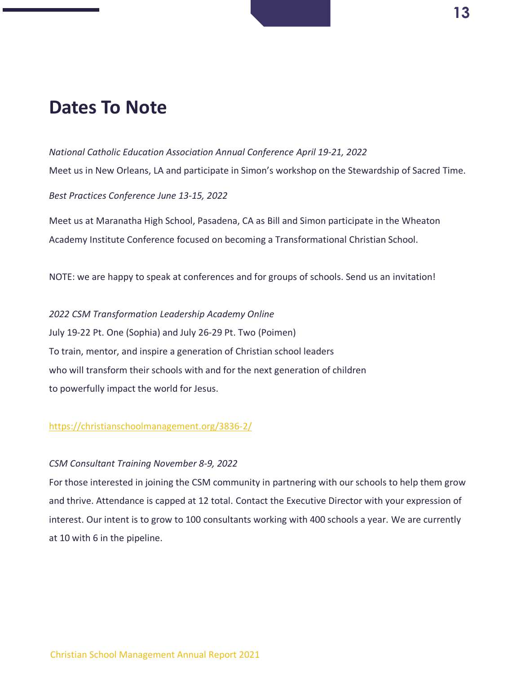## **Dates To Note**

*National Catholic Education Association Annual Conference April 19-21, 2022* Meet us in New Orleans, LA and participate in Simon's workshop on the Stewardship of Sacred Time. *Best Practices Conference June 13-15, 2022*

Meet us at Maranatha High School, Pasadena, CA as Bill and Simon participate in the Wheaton Academy Institute Conference focused on becoming a Transformational Christian School.

NOTE: we are happy to speak at conferences and for groups of schools. Send us an invitation!

*2022 CSM Transformation Leadership Academy Online* July 19-22 Pt. One (Sophia) and July 26-29 Pt. Two (Poimen) To train, mentor, and inspire a generation of Christian school leaders who will transform their schools with and for the next generation of children to powerfully impact the world for Jesus.

### <https://christianschoolmanagement.org/3836-2/>

### *CSM Consultant Training November 8-9, 2022*

For those interested in joining the CSM community in partnering with our schools to help them grow and thrive. Attendance is capped at 12 total. Contact the Executive Director with your expression of interest. Our intent is to grow to 100 consultants working with 400 schools a year. We are currently at 10 with 6 in the pipeline.